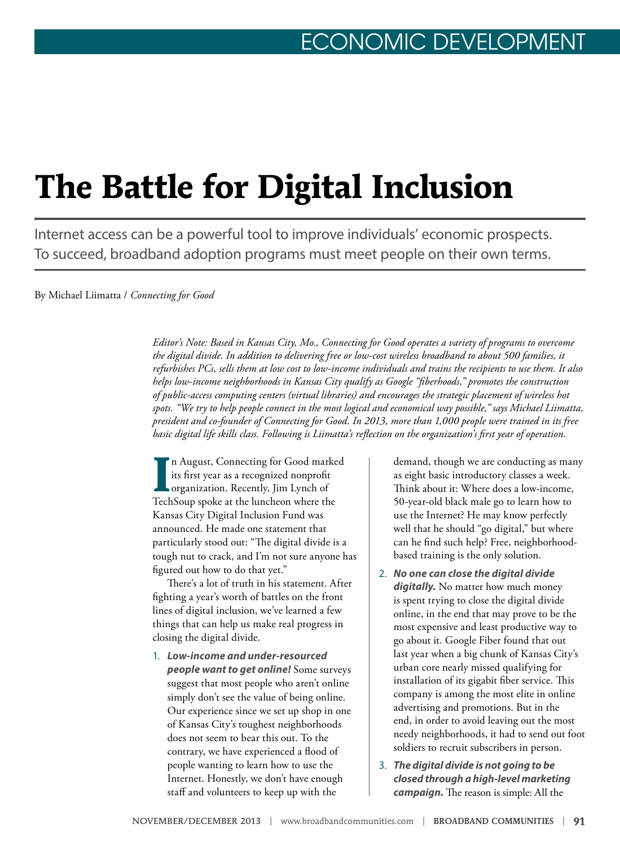## **The Battle for Digital Inclusion**

Internet access can be a powerful tool to improve individuals' economic prospects. To succeed, broadband adoption programs must meet people on their own terms.

By Michael Liimatta / *Connecting for Good*

*Editor's Note: Based in Kansas City, Mo., Connecting for Good operates a variety of programs to overcome the digital divide. In addition to delivering free or low-cost wireless broadband to about 500 families, it refurbishes PCs, sells them at low cost to low-income individuals and trains the recipients to use them. It also helps low-income neighborhoods in Kansas City qualify as Google "fiberhoods," promotes the construction of public-access computing centers (virtual libraries) and encourages the strategic placement of wireless hot spots. "We try to help people connect in the most logical and economical way possible," says Michael Liimatta, president and co-founder of Connecting for Good. In 2013, more than 1,000 people were trained in its free basic digital life skills class. Following is Liimatta's reflection on the organization's first year of operation.* 

**I** n August, Connecting for Good marked its first year as a recognized nonprofit organization. Recently, Jim Lynch of TechSoup spoke at the luncheon where the Kansas City Digital Inclusion Fund was announced. He made one statement that particularly stood out: "The digital divide is a tough nut to crack, and I'm not sure anyone has figured out how to do that yet."

There's a lot of truth in his statement. After fighting a year's worth of battles on the front lines of digital inclusion, we've learned a few things that can help us make real progress in closing the digital divide.

1. *Low-income and under-resourced people want to get online!* Some surveys suggest that most people who aren't online simply don't see the value of being online. Our experience since we set up shop in one of Kansas City's toughest neighborhoods does not seem to bear this out. To the contrary, we have experienced a flood of people wanting to learn how to use the Internet. Honestly, we don't have enough staff and volunteers to keep up with the

demand, though we are conducting as many as eight basic introductory classes a week. Think about it: Where does a low-income, 50-year-old black male go to learn how to use the Internet? He may know perfectly well that he should "go digital," but where can he find such help? Free, neighborhoodbased training is the only solution.

- 2. *No one can close the digital divide*  digitally. No matter how much money is spent trying to close the digital divide online, in the end that may prove to be the most expensive and least productive way to go about it. Google Fiber found that out last year when a big chunk of Kansas City's urban core nearly missed qualifying for installation of its gigabit fiber service. This company is among the most elite in online advertising and promotions. But in the end, in order to avoid leaving out the most needy neighborhoods, it had to send out foot soldiers to recruit subscribers in person.
- 3. *The digital divide is not going to be closed through a high-level marketing campaign.* The reason is simple: All the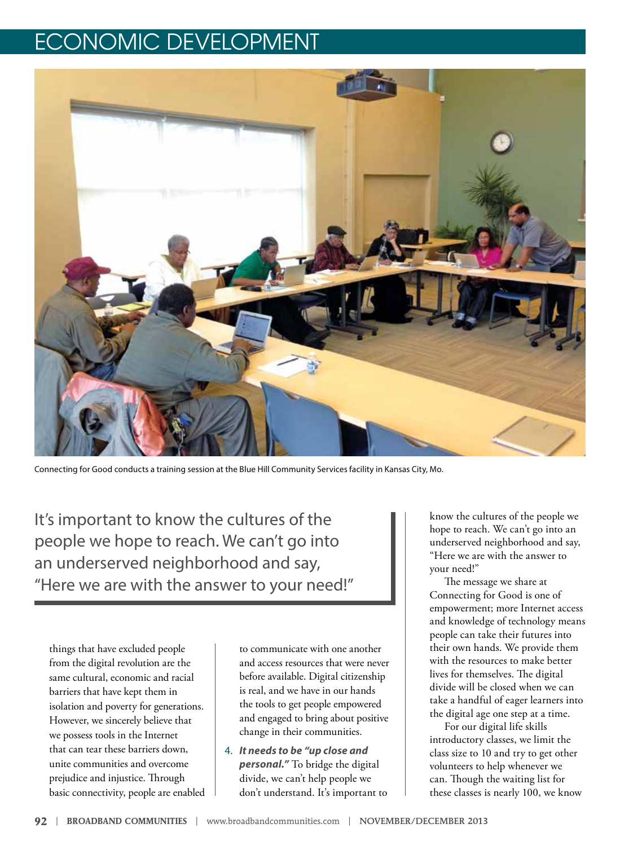## ECONOMIC DEVELOPMENT



Connecting for Good conducts a training session at the Blue Hill Community Services facility in Kansas City, Mo.

It's important to know the cultures of the people we hope to reach. We can't go into an underserved neighborhood and say, "Here we are with the answer to your need!"

things that have excluded people from the digital revolution are the same cultural, economic and racial barriers that have kept them in isolation and poverty for generations. However, we sincerely believe that we possess tools in the Internet that can tear these barriers down, unite communities and overcome prejudice and injustice. Through basic connectivity, people are enabled to communicate with one another and access resources that were never before available. Digital citizenship is real, and we have in our hands the tools to get people empowered and engaged to bring about positive change in their communities.

4. *It needs to be "up close and personal."* To bridge the digital divide, we can't help people we don't understand. It's important to

know the cultures of the people we hope to reach. We can't go into an underserved neighborhood and say, "Here we are with the answer to your need!"

The message we share at Connecting for Good is one of empowerment; more Internet access and knowledge of technology means people can take their futures into their own hands. We provide them with the resources to make better lives for themselves. The digital divide will be closed when we can take a handful of eager learners into the digital age one step at a time.

For our digital life skills introductory classes, we limit the class size to 10 and try to get other volunteers to help whenever we can. Though the waiting list for these classes is nearly 100, we know